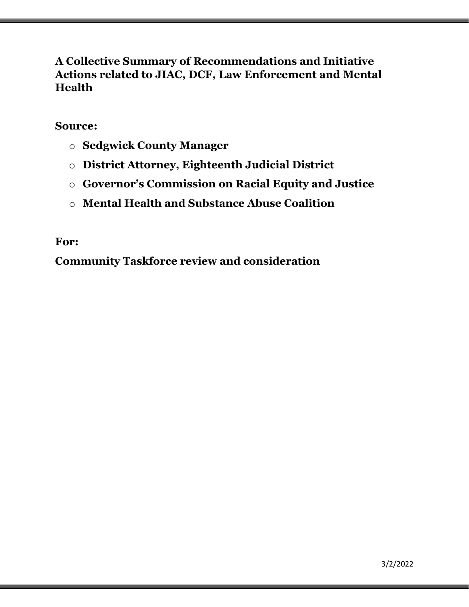# **A Collective Summary of Recommendations and Initiative Actions related to JIAC, DCF, Law Enforcement and Mental Health**

# **Source:**

- o **Sedgwick County Manager**
- o **District Attorney, Eighteenth Judicial District**
- o **Governor's Commission on Racial Equity and Justice**
- o **Mental Health and Substance Abuse Coalition**

# **For:**

**Community Taskforce review and consideration**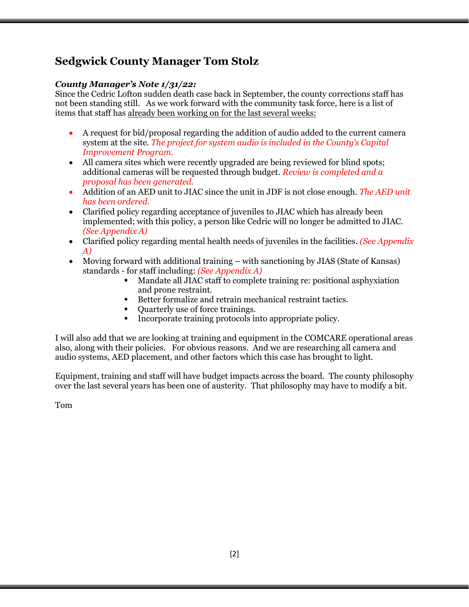# **Sedgwick County Manager Tom Stolz**

## *County Manager's Note 1/31/22:*

Since the Cedric Lofton sudden death case back in September, the county corrections staff has not been standing still. As we work forward with the community task force, here is a list of items that staff has already been working on for the last several weeks:

- A request for bid/proposal regarding the addition of audio added to the current camera system at the site. *The project for system audio is included in the County's Capital Improvement Program.*
- All camera sites which were recently upgraded are being reviewed for blind spots; additional cameras will be requested through budget. *Review is completed and a proposal has been generated.*
- Addition of an AED unit to JIAC since the unit in JDF is not close enough. *The AED unit has been ordered.*
- Clarified policy regarding acceptance of juveniles to JIAC which has already been implemented; with this policy, a person like Cedric will no longer be admitted to JIAC. *(See Appendix A)*
- Clarified policy regarding mental health needs of juveniles in the facilities. *(See Appendix A)*
- Moving forward with additional training with sanctioning by JIAS (State of Kansas) standards - for staff including: *(See Appendix A)*
	- Mandate all JIAC staff to complete training re: positional asphyxiation and prone restraint.
	- Better formalize and retrain mechanical restraint tactics.
	- Quarterly use of force trainings.
	- Incorporate training protocols into appropriate policy.

I will also add that we are looking at training and equipment in the COMCARE operational areas also, along with their policies. For obvious reasons. And we are researching all camera and audio systems, AED placement, and other factors which this case has brought to light.

Equipment, training and staff will have budget impacts across the board. The county philosophy over the last several years has been one of austerity. That philosophy may have to modify a bit.

Tom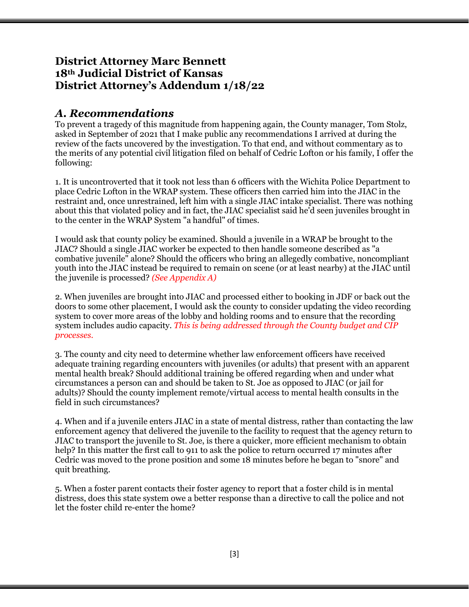# **District Attorney Marc Bennett 18th Judicial District of Kansas District Attorney's Addendum 1/18/22**

# *A. Recommendations*

To prevent a tragedy of this magnitude from happening again, the County manager, Tom Stolz, asked in September of 2021 that I make public any recommendations I arrived at during the review of the facts uncovered by the investigation. To that end, and without commentary as to the merits of any potential civil litigation filed on behalf of Cedric Lofton or his family, I offer the following:

1. It is uncontroverted that it took not less than 6 officers with the Wichita Police Department to place Cedric Lofton in the WRAP system. These officers then carried him into the JIAC in the restraint and, once unrestrained, left him with a single JIAC intake specialist. There was nothing about this that violated policy and in fact, the JIAC specialist said he'd seen juveniles brought in to the center in the WRAP System "a handful" of times.

I would ask that county policy be examined. Should a juvenile in a WRAP be brought to the JIAC? Should a single JIAC worker be expected to then handle someone described as "a combative juvenile" alone? Should the officers who bring an allegedly combative, noncompliant youth into the JIAC instead be required to remain on scene (or at least nearby) at the JIAC until the juvenile is processed? *(See Appendix A)*

2. When juveniles are brought into JIAC and processed either to booking in JDF or back out the doors to some other placement, I would ask the county to consider updating the video recording system to cover more areas of the lobby and holding rooms and to ensure that the recording system includes audio capacity. *This is being addressed through the County budget and CIP processes.*

3. The county and city need to determine whether law enforcement officers have received adequate training regarding encounters with juveniles (or adults) that present with an apparent mental health break? Should additional training be offered regarding when and under what circumstances a person can and should be taken to St. Joe as opposed to JIAC (or jail for adults)? Should the county implement remote/virtual access to mental health consults in the field in such circumstances?

4. When and if a juvenile enters JIAC in a state of mental distress, rather than contacting the law enforcement agency that delivered the juvenile to the facility to request that the agency return to JIAC to transport the juvenile to St. Joe, is there a quicker, more efficient mechanism to obtain help? In this matter the first call to 911 to ask the police to return occurred 17 minutes after Cedric was moved to the prone position and some 18 minutes before he began to "snore" and quit breathing.

5. When a foster parent contacts their foster agency to report that a foster child is in mental distress, does this state system owe a better response than a directive to call the police and not let the foster child re-enter the home?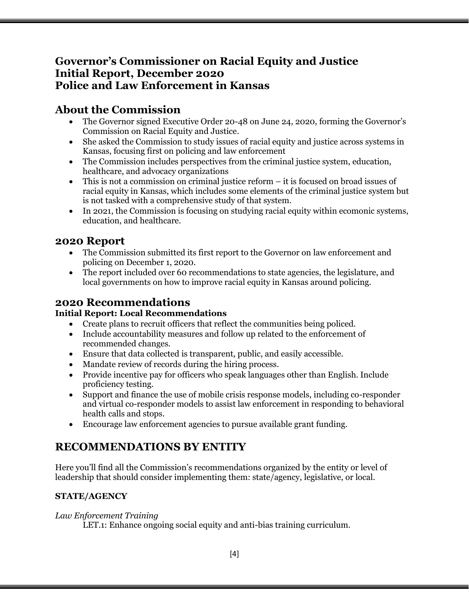# **Governor's Commissioner on Racial Equity and Justice Initial Report, December 2020 Police and Law Enforcement in Kansas**

# **About the Commission**

- The Governor signed Executive Order 20-48 on June 24, 2020, forming the Governor's Commission on Racial Equity and Justice.
- She asked the Commission to study issues of racial equity and justice across systems in Kansas, focusing first on policing and law enforcement
- The Commission includes perspectives from the criminal justice system, education, healthcare, and advocacy organizations
- This is not a commission on criminal justice reform it is focused on broad issues of racial equity in Kansas, which includes some elements of the criminal justice system but is not tasked with a comprehensive study of that system.
- In 2021, the Commission is focusing on studying racial equity within ecomonic systems, education, and healthcare.

# **2020 Report**

- The Commission submitted its first report to the Governor on law enforcement and policing on December 1, 2020.
- The report included over 60 recommendations to state agencies, the legislature, and local governments on how to improve racial equity in Kansas around policing.

## **2020 Recommendations Initial Report: Local Recommendations**

- Create plans to recruit officers that reflect the communities being policed.
- Include accountability measures and follow up related to the enforcement of recommended changes.
- Ensure that data collected is transparent, public, and easily accessible.
- Mandate review of records during the hiring process.
- Provide incentive pay for officers who speak languages other than English. Include proficiency testing.
- Support and finance the use of mobile crisis response models, including co-responder and virtual co-responder models to assist law enforcement in responding to behavioral health calls and stops.
- Encourage law enforcement agencies to pursue available grant funding.

# **RECOMMENDATIONS BY ENTITY**

Here you'll find all the Commission's recommendations organized by the entity or level of leadership that should consider implementing them: state/agency, legislative, or local.

# **STATE/AGENCY**

## *Law Enforcement Training*

LET.1: Enhance ongoing social equity and anti-bias training curriculum.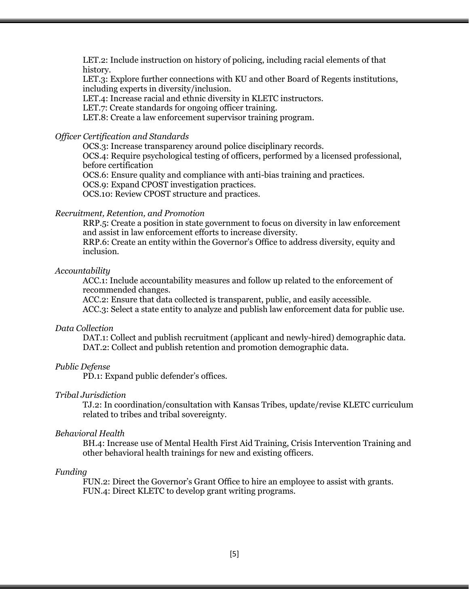LET.2: Include instruction on history of policing, including racial elements of that history.

LET.3: Explore further connections with KU and other Board of Regents institutions, including experts in diversity/inclusion.

LET.4: Increase racial and ethnic diversity in KLETC instructors.

LET.7: Create standards for ongoing officer training.

LET.8: Create a law enforcement supervisor training program.

## *Officer Certification and Standards*

OCS.3: Increase transparency around police disciplinary records.

OCS.4: Require psychological testing of officers, performed by a licensed professional, before certification

OCS.6: Ensure quality and compliance with anti-bias training and practices.

OCS.9: Expand CPOST investigation practices.

OCS.10: Review CPOST structure and practices.

### *Recruitment, Retention, and Promotion*

RRP.5: Create a position in state government to focus on diversity in law enforcement and assist in law enforcement efforts to increase diversity.

RRP.6: Create an entity within the Governor's Office to address diversity, equity and inclusion.

### *Accountability*

ACC.1: Include accountability measures and follow up related to the enforcement of recommended changes.

ACC.2: Ensure that data collected is transparent, public, and easily accessible. ACC.3: Select a state entity to analyze and publish law enforcement data for public use.

### *Data Collection*

DAT.1: Collect and publish recruitment (applicant and newly-hired) demographic data. DAT.2: Collect and publish retention and promotion demographic data.

### *Public Defense*

PD.1: Expand public defender's offices.

#### *Tribal Jurisdiction*

TJ.2: In coordination/consultation with Kansas Tribes, update/revise KLETC curriculum related to tribes and tribal sovereignty.

#### *Behavioral Health*

BH.4: Increase use of Mental Health First Aid Training, Crisis Intervention Training and other behavioral health trainings for new and existing officers.

### *Funding*

FUN.2: Direct the Governor's Grant Office to hire an employee to assist with grants. FUN.4: Direct KLETC to develop grant writing programs.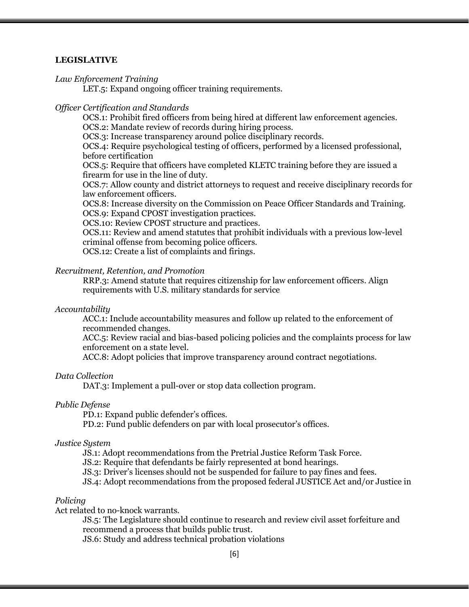### **LEGISLATIVE**

*Law Enforcement Training*

LET.5: Expand ongoing officer training requirements.

### *Officer Certification and Standards*

OCS.1: Prohibit fired officers from being hired at different law enforcement agencies. OCS.2: Mandate review of records during hiring process.

OCS.3: Increase transparency around police disciplinary records.

OCS.4: Require psychological testing of officers, performed by a licensed professional, before certification

OCS.5: Require that officers have completed KLETC training before they are issued a firearm for use in the line of duty.

OCS.7: Allow county and district attorneys to request and receive disciplinary records for law enforcement officers.

OCS.8: Increase diversity on the Commission on Peace Officer Standards and Training. OCS.9: Expand CPOST investigation practices.

OCS.10: Review CPOST structure and practices.

OCS.11: Review and amend statutes that prohibit individuals with a previous low-level criminal offense from becoming police officers.

OCS.12: Create a list of complaints and firings.

## *Recruitment, Retention, and Promotion*

RRP.3: Amend statute that requires citizenship for law enforcement officers. Align requirements with U.S. military standards for service

#### *Accountability*

ACC.1: Include accountability measures and follow up related to the enforcement of recommended changes.

ACC.5: Review racial and bias-based policing policies and the complaints process for law enforcement on a state level.

ACC.8: Adopt policies that improve transparency around contract negotiations.

### *Data Collection*

DAT.3: Implement a pull-over or stop data collection program.

### *Public Defense*

PD.1: Expand public defender's offices.

PD.2: Fund public defenders on par with local prosecutor's offices.

### *Justice System*

JS.1: Adopt recommendations from the Pretrial Justice Reform Task Force.

JS.2: Require that defendants be fairly represented at bond hearings.

JS.3: Driver's licenses should not be suspended for failure to pay fines and fees.

JS.4: Adopt recommendations from the proposed federal JUSTICE Act and/or Justice in

#### *Policing*

Act related to no-knock warrants.

JS.5: The Legislature should continue to research and review civil asset forfeiture and recommend a process that builds public trust.

JS.6: Study and address technical probation violations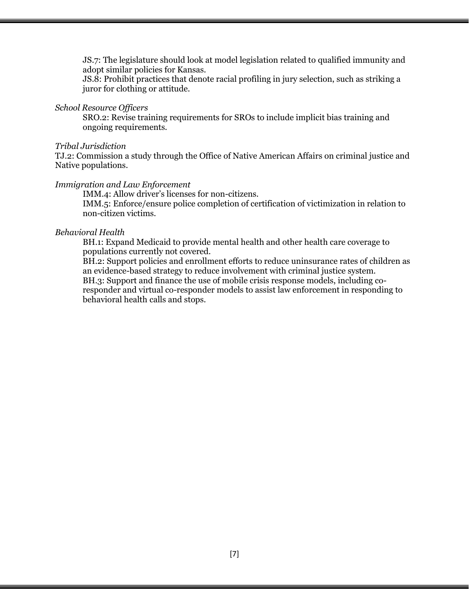JS.7: The legislature should look at model legislation related to qualified immunity and adopt similar policies for Kansas.

JS.8: Prohibit practices that denote racial profiling in jury selection, such as striking a juror for clothing or attitude.

### *School Resource Officers*

SRO.2: Revise training requirements for SROs to include implicit bias training and ongoing requirements.

#### *Tribal Jurisdiction*

TJ.2: Commission a study through the Office of Native American Affairs on criminal justice and Native populations.

#### *Immigration and Law Enforcement*

IMM.4: Allow driver's licenses for non-citizens. IMM.5: Enforce/ensure police completion of certification of victimization in relation to non-citizen victims.

#### *Behavioral Health*

BH.1: Expand Medicaid to provide mental health and other health care coverage to populations currently not covered.

BH.2: Support policies and enrollment efforts to reduce uninsurance rates of children as an evidence-based strategy to reduce involvement with criminal justice system. BH.3: Support and finance the use of mobile crisis response models, including coresponder and virtual co-responder models to assist law enforcement in responding to behavioral health calls and stops.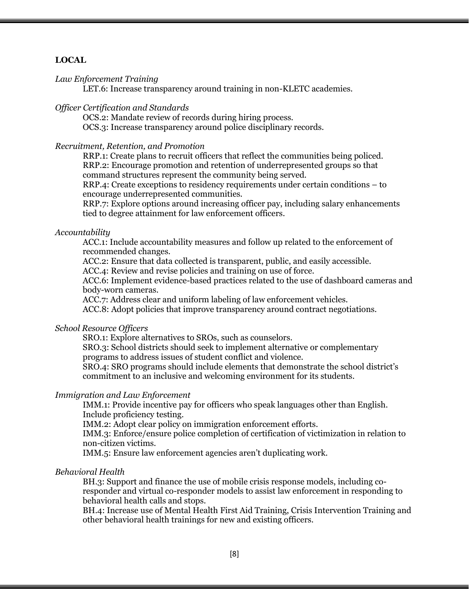## **LOCAL**

#### *Law Enforcement Training*

LET.6: Increase transparency around training in non-KLETC academies.

### *Officer Certification and Standards*

OCS.2: Mandate review of records during hiring process. OCS.3: Increase transparency around police disciplinary records.

### *Recruitment, Retention, and Promotion*

RRP.1: Create plans to recruit officers that reflect the communities being policed. RRP.2: Encourage promotion and retention of underrepresented groups so that command structures represent the community being served.

RRP.4: Create exceptions to residency requirements under certain conditions – to encourage underrepresented communities.

RRP.7: Explore options around increasing officer pay, including salary enhancements tied to degree attainment for law enforcement officers.

#### *Accountability*

ACC.1: Include accountability measures and follow up related to the enforcement of recommended changes.

ACC.2: Ensure that data collected is transparent, public, and easily accessible.

ACC.4: Review and revise policies and training on use of force.

ACC.6: Implement evidence-based practices related to the use of dashboard cameras and body-worn cameras.

ACC.7: Address clear and uniform labeling of law enforcement vehicles.

ACC.8: Adopt policies that improve transparency around contract negotiations.

## *School Resource Officers*

SRO.1: Explore alternatives to SROs, such as counselors.

SRO.3: School districts should seek to implement alternative or complementary programs to address issues of student conflict and violence.

SRO.4: SRO programs should include elements that demonstrate the school district's commitment to an inclusive and welcoming environment for its students.

### *Immigration and Law Enforcement*

IMM.1: Provide incentive pay for officers who speak languages other than English. Include proficiency testing.

IMM.2: Adopt clear policy on immigration enforcement efforts.

IMM.3: Enforce/ensure police completion of certification of victimization in relation to non-citizen victims.

IMM.5: Ensure law enforcement agencies aren't duplicating work.

## *Behavioral Health*

BH.3: Support and finance the use of mobile crisis response models, including coresponder and virtual co-responder models to assist law enforcement in responding to behavioral health calls and stops.

BH.4: Increase use of Mental Health First Aid Training, Crisis Intervention Training and other behavioral health trainings for new and existing officers.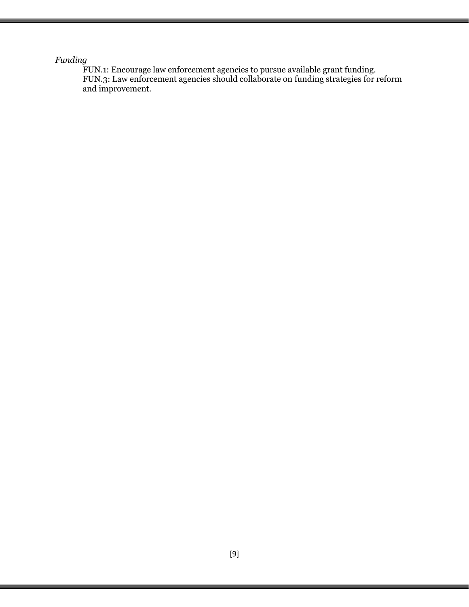## *Funding*

FUN.1: Encourage law enforcement agencies to pursue available grant funding. FUN.3: Law enforcement agencies should collaborate on funding strategies for reform and improvement.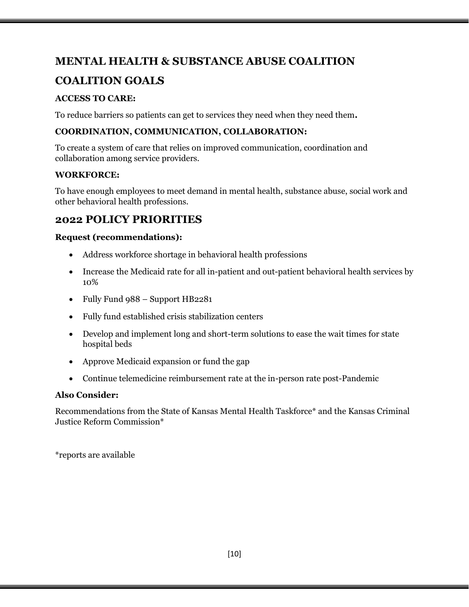# **MENTAL HEALTH & SUBSTANCE ABUSE COALITION**

# **COALITION GOALS**

# **ACCESS TO CARE:**

To reduce barriers so patients can get to services they need when they need them**.** 

## **COORDINATION, COMMUNICATION, COLLABORATION:**

To create a system of care that relies on improved communication, coordination and collaboration among service providers.

## **WORKFORCE:**

To have enough employees to meet demand in mental health, substance abuse, social work and other behavioral health professions.

# **2022 POLICY PRIORITIES**

## **Request (recommendations):**

- Address workforce shortage in behavioral health professions
- Increase the Medicaid rate for all in-patient and out-patient behavioral health services by 10%
- Fully Fund 988 Support HB2281
- Fully fund established crisis stabilization centers
- Develop and implement long and short-term solutions to ease the wait times for state hospital beds
- Approve Medicaid expansion or fund the gap
- Continue telemedicine reimbursement rate at the in-person rate post-Pandemic

## **Also Consider:**

Recommendations from the State of Kansas Mental Health Taskforce\* and the Kansas Criminal Justice Reform Commission\*

\*reports are available